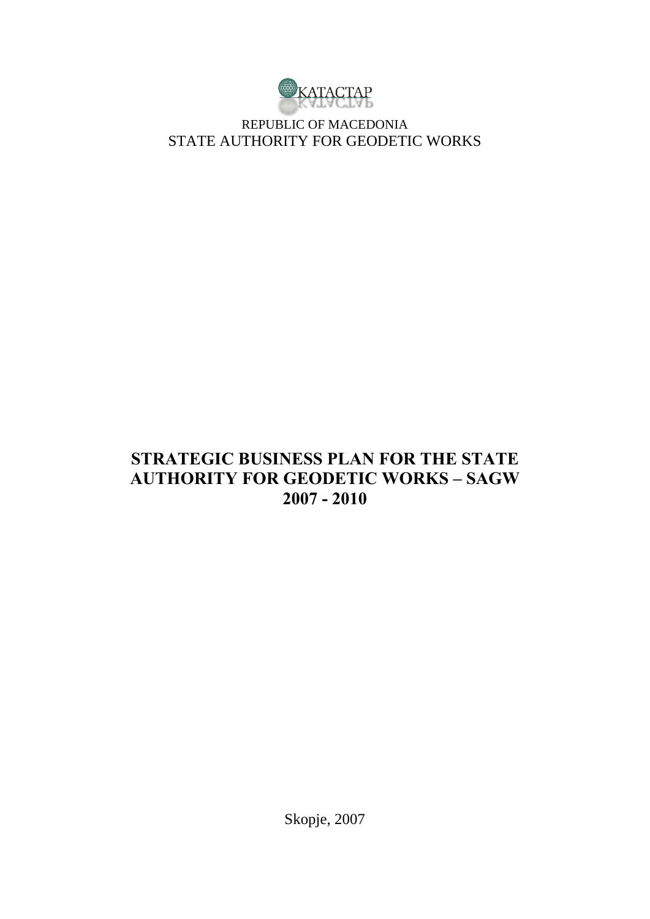

REPUBLIC OF MACEDONIA STATE AUTHORITY FOR GEODETIC WORKS

## **STRATEGIC BUSINESS PLAN FOR THE STATE AUTHORITY FOR GEODETIC WORKS – SAGW 2007 - 2010**

Skopje, 2007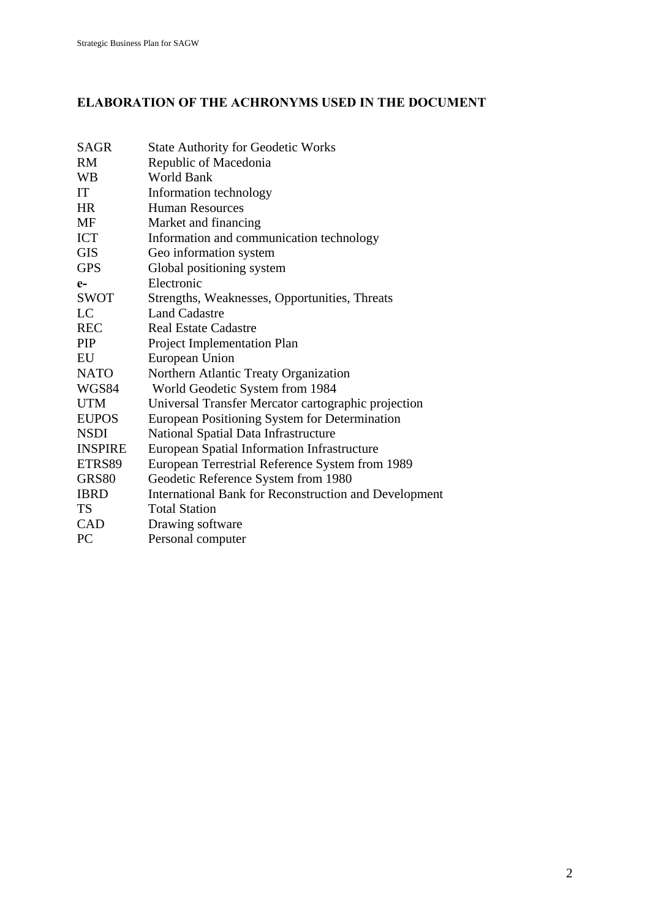### **ELABORATION OF THE ACHRONYMS USED IN THE DOCUMENT**

| <b>SAGR</b>    | <b>State Authority for Geodetic Works</b>                    |
|----------------|--------------------------------------------------------------|
| <b>RM</b>      | Republic of Macedonia                                        |
| <b>WB</b>      | <b>World Bank</b>                                            |
| IT             | Information technology                                       |
| <b>HR</b>      | <b>Human Resources</b>                                       |
| MF             | Market and financing                                         |
| <b>ICT</b>     | Information and communication technology                     |
| <b>GIS</b>     | Geo information system                                       |
| <b>GPS</b>     | Global positioning system                                    |
| $e-$           | Electronic                                                   |
| <b>SWOT</b>    | Strengths, Weaknesses, Opportunities, Threats                |
| LC             | <b>Land Cadastre</b>                                         |
| <b>REC</b>     | <b>Real Estate Cadastre</b>                                  |
| <b>PIP</b>     | Project Implementation Plan                                  |
| EU             | European Union                                               |
| <b>NATO</b>    | Northern Atlantic Treaty Organization                        |
| WGS84          | World Geodetic System from 1984                              |
| <b>UTM</b>     | Universal Transfer Mercator cartographic projection          |
| <b>EUPOS</b>   | European Positioning System for Determination                |
| <b>NSDI</b>    | National Spatial Data Infrastructure                         |
| <b>INSPIRE</b> | <b>European Spatial Information Infrastructure</b>           |
| ETRS89         | European Terrestrial Reference System from 1989              |
| <b>GRS80</b>   | Geodetic Reference System from 1980                          |
| <b>IBRD</b>    | <b>International Bank for Reconstruction and Development</b> |
| <b>TS</b>      | <b>Total Station</b>                                         |
| CAD            | Drawing software                                             |
| PC             | Personal computer                                            |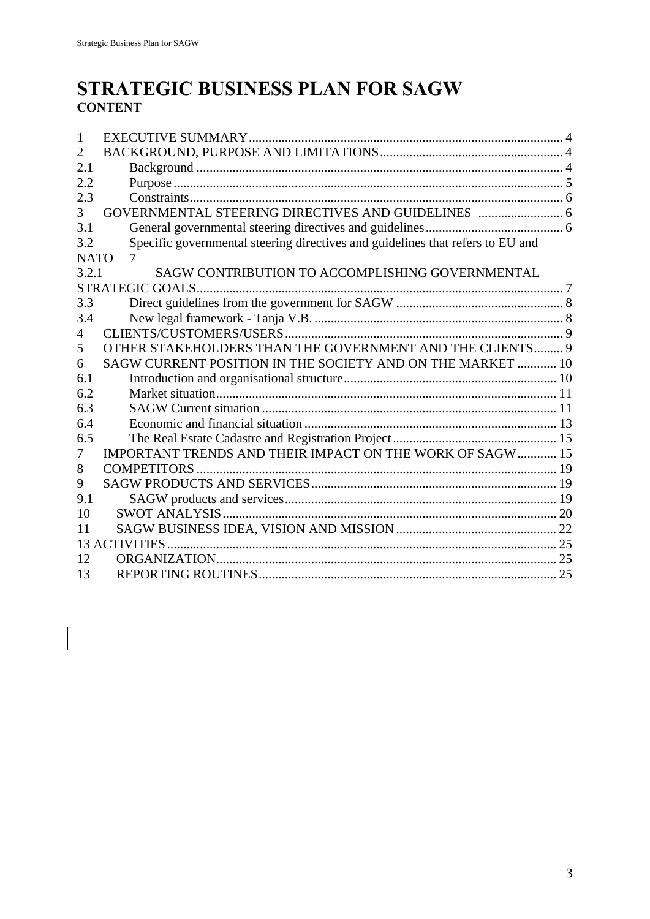## **STRATEGIC BUSINESS PLAN FOR SAGW CONTENT**

| 1           |                                                                                |  |
|-------------|--------------------------------------------------------------------------------|--|
| 2           |                                                                                |  |
| 2.1         |                                                                                |  |
| 2.2         |                                                                                |  |
| 2.3         |                                                                                |  |
| 3           |                                                                                |  |
| 3.1         |                                                                                |  |
| 3.2         | Specific governmental steering directives and guidelines that refers to EU and |  |
| <b>NATO</b> |                                                                                |  |
| 3.2.1       | SAGW CONTRIBUTION TO ACCOMPLISHING GOVERNMENTAL                                |  |
|             | STRATEGIC GOALS.                                                               |  |
| 3.3         |                                                                                |  |
| 3.4         |                                                                                |  |
| 4           |                                                                                |  |
| 5           | OTHER STAKEHOLDERS THAN THE GOVERNMENT AND THE CLIENTS 9                       |  |
| 6           | SAGW CURRENT POSITION IN THE SOCIETY AND ON THE MARKET  10                     |  |
| 6.1         |                                                                                |  |
| 6.2         |                                                                                |  |
| 6.3         |                                                                                |  |
| 6.4         |                                                                                |  |
| 6.5         |                                                                                |  |
| 7           | IMPORTANT TRENDS AND THEIR IMPACT ON THE WORK OF SAGW  15                      |  |
| 8           |                                                                                |  |
| 9           |                                                                                |  |
| 9.1         |                                                                                |  |
| 10          |                                                                                |  |
| 11          |                                                                                |  |
|             | 13 ACTIVITIES.                                                                 |  |
| 12          |                                                                                |  |
| 13          |                                                                                |  |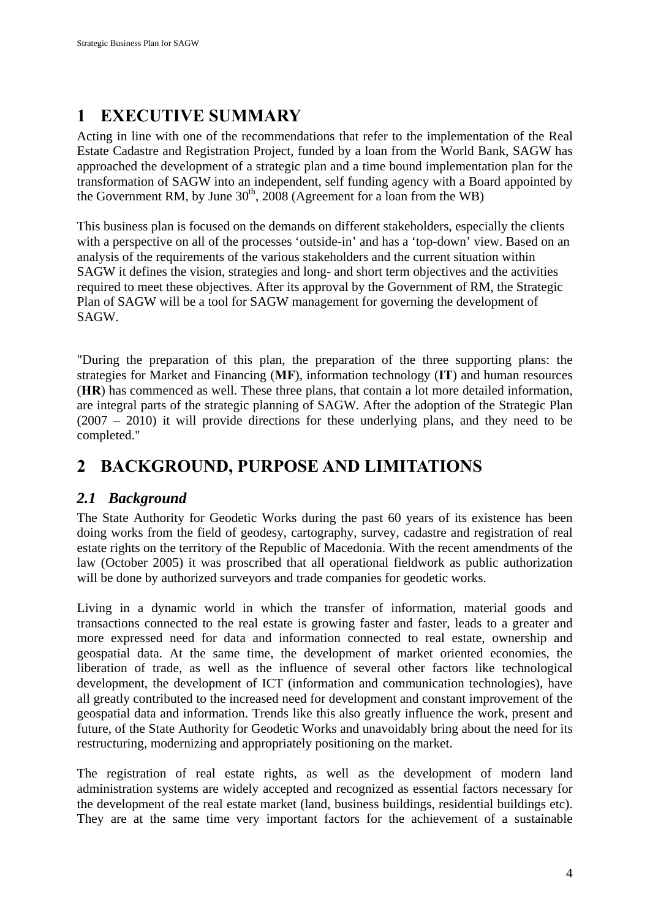## **1 EXECUTIVE SUMMARY**

Acting in line with one of the recommendations that refer to the implementation of the Real Estate Cadastre and Registration Project, funded by a loan from the World Bank, SAGW has approached the development of a strategic plan and a time bound implementation plan for the transformation of SAGW into an independent, self funding agency with a Board appointed by the Government RM, by June  $30<sup>th</sup>$ , 2008 (Agreement for a loan from the WB)

This business plan is focused on the demands on different stakeholders, especially the clients with a perspective on all of the processes 'outside-in' and has a 'top-down' view. Based on an analysis of the requirements of the various stakeholders and the current situation within SAGW it defines the vision, strategies and long- and short term objectives and the activities required to meet these objectives. After its approval by the Government of RM, the Strategic Plan of SAGW will be a tool for SAGW management for governing the development of SAGW.

"During the preparation of this plan, the preparation of the three supporting plans: the strategies for Market and Financing (**MF**), information technology (**IT**) and human resources (**HR**) has commenced as well. These three plans, that contain a lot more detailed information, are integral parts of the strategic planning of SAGW. After the adoption of the Strategic Plan (2007 – 2010) it will provide directions for these underlying plans, and they need to be completed."

## **2 BACKGROUND, PURPOSE AND LIMITATIONS**

## *2.1 Background*

The State Authority for Geodetic Works during the past 60 years of its existence has been doing works from the field of geodesy, cartography, survey, cadastre and registration of real estate rights on the territory of the Republic of Macedonia. With the recent amendments of the law (October 2005) it was proscribed that all operational fieldwork as public authorization will be done by authorized surveyors and trade companies for geodetic works.

Living in a dynamic world in which the transfer of information, material goods and transactions connected to the real estate is growing faster and faster, leads to a greater and more expressed need for data and information connected to real estate, ownership and geospatial data. At the same time, the development of market oriented economies, the liberation of trade, as well as the influence of several other factors like technological development, the development of ICT (information and communication technologies), have all greatly contributed to the increased need for development and constant improvement of the geospatial data and information. Trends like this also greatly influence the work, present and future, of the State Authority for Geodetic Works and unavoidably bring about the need for its restructuring, modernizing and appropriately positioning on the market.

The registration of real estate rights, as well as the development of modern land administration systems are widely accepted and recognized as essential factors necessary for the development of the real estate market (land, business buildings, residential buildings etc). They are at the same time very important factors for the achievement of a sustainable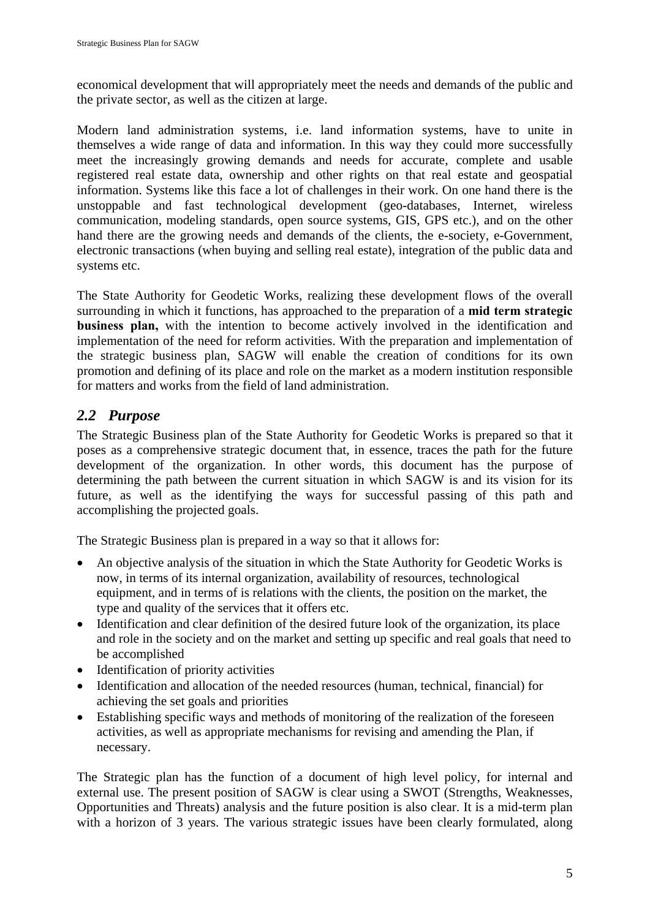economical development that will appropriately meet the needs and demands of the public and the private sector, as well as the citizen at large.

Modern land administration systems, i.e. land information systems, have to unite in themselves a wide range of data and information. In this way they could more successfully meet the increasingly growing demands and needs for accurate, complete and usable registered real estate data, ownership and other rights on that real estate and geospatial information. Systems like this face a lot of challenges in their work. On one hand there is the unstoppable and fast technological development (geo-databases, Internet, wireless communication, modeling standards, open source systems, GIS, GPS etc.), and on the other hand there are the growing needs and demands of the clients, the e-society, e-Government, electronic transactions (when buying and selling real estate), integration of the public data and systems etc.

The State Authority for Geodetic Works, realizing these development flows of the overall surrounding in which it functions, has approached to the preparation of a **mid term strategic business plan,** with the intention to become actively involved in the identification and implementation of the need for reform activities. With the preparation and implementation of the strategic business plan, SAGW will enable the creation of conditions for its own promotion and defining of its place and role on the market as a modern institution responsible for matters and works from the field of land administration.

### *2.2 Purpose*

The Strategic Business plan of the State Authority for Geodetic Works is prepared so that it poses as a comprehensive strategic document that, in essence, traces the path for the future development of the organization. In other words, this document has the purpose of determining the path between the current situation in which SAGW is and its vision for its future, as well as the identifying the ways for successful passing of this path and accomplishing the projected goals.

The Strategic Business plan is prepared in a way so that it allows for:

- An objective analysis of the situation in which the State Authority for Geodetic Works is now, in terms of its internal organization, availability of resources, technological equipment, and in terms of is relations with the clients, the position on the market, the type and quality of the services that it offers etc.
- Identification and clear definition of the desired future look of the organization, its place and role in the society and on the market and setting up specific and real goals that need to be accomplished
- Identification of priority activities
- Identification and allocation of the needed resources (human, technical, financial) for achieving the set goals and priorities
- Establishing specific ways and methods of monitoring of the realization of the foreseen activities, as well as appropriate mechanisms for revising and amending the Plan, if necessary.

The Strategic plan has the function of a document of high level policy, for internal and external use. The present position of SAGW is clear using a SWOT (Strengths, Weaknesses, Opportunities and Threats) analysis and the future position is also clear. It is a mid-term plan with a horizon of 3 years. The various strategic issues have been clearly formulated, along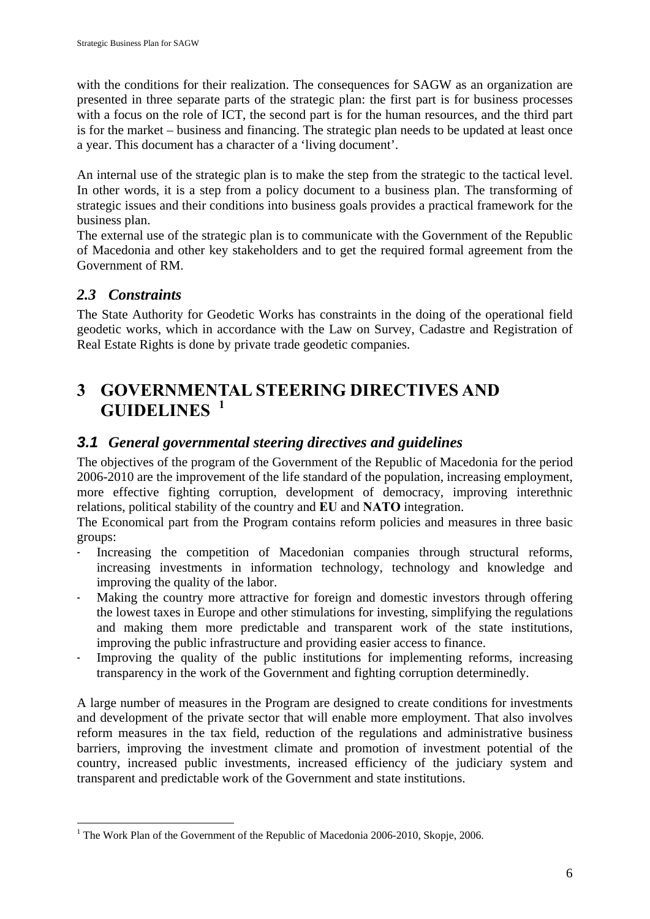with the conditions for their realization. The consequences for SAGW as an organization are presented in three separate parts of the strategic plan: the first part is for business processes with a focus on the role of ICT, the second part is for the human resources, and the third part is for the market – business and financing. The strategic plan needs to be updated at least once a year. This document has a character of a 'living document'.

An internal use of the strategic plan is to make the step from the strategic to the tactical level. In other words, it is a step from a policy document to a business plan. The transforming of strategic issues and their conditions into business goals provides a practical framework for the business plan.

The external use of the strategic plan is to communicate with the Government of the Republic of Macedonia and other key stakeholders and to get the required formal agreement from the Government of RM.

### *2.3 Constraints*

 $\overline{\phantom{a}}$ 

The State Authority for Geodetic Works has constraints in the doing of the operational field geodetic works, which in accordance with the Law on Survey, Cadastre and Registration of Real Estate Rights is done by private trade geodetic companies.

## **3 GOVERNMENTAL STEERING DIRECTIVES AND GUIDELINES <sup>1</sup>**

### *3.1 General governmental steering directives and guidelines*

The objectives of the program of the Government of the Republic of Macedonia for the period 2006-2010 are the improvement of the life standard of the population, increasing employment, more effective fighting corruption, development of democracy, improving interethnic relations, political stability of the country and **EU** and **NATO** integration.

The Economical part from the Program contains reform policies and measures in three basic groups:

- Increasing the competition of Macedonian companies through structural reforms, increasing investments in information technology, technology and knowledge and improving the quality of the labor.
- Making the country more attractive for foreign and domestic investors through offering the lowest taxes in Europe and other stimulations for investing, simplifying the regulations and making them more predictable and transparent work of the state institutions, improving the public infrastructure and providing easier access to finance.
- Improving the quality of the public institutions for implementing reforms, increasing transparency in the work of the Government and fighting corruption determinedly.

A large number of measures in the Program are designed to create conditions for investments and development of the private sector that will enable more employment. That also involves reform measures in the tax field, reduction of the regulations and administrative business barriers, improving the investment climate and promotion of investment potential of the country, increased public investments, increased efficiency of the judiciary system and transparent and predictable work of the Government and state institutions.

<sup>&</sup>lt;sup>1</sup> The Work Plan of the Government of the Republic of Macedonia 2006-2010, Skopje, 2006.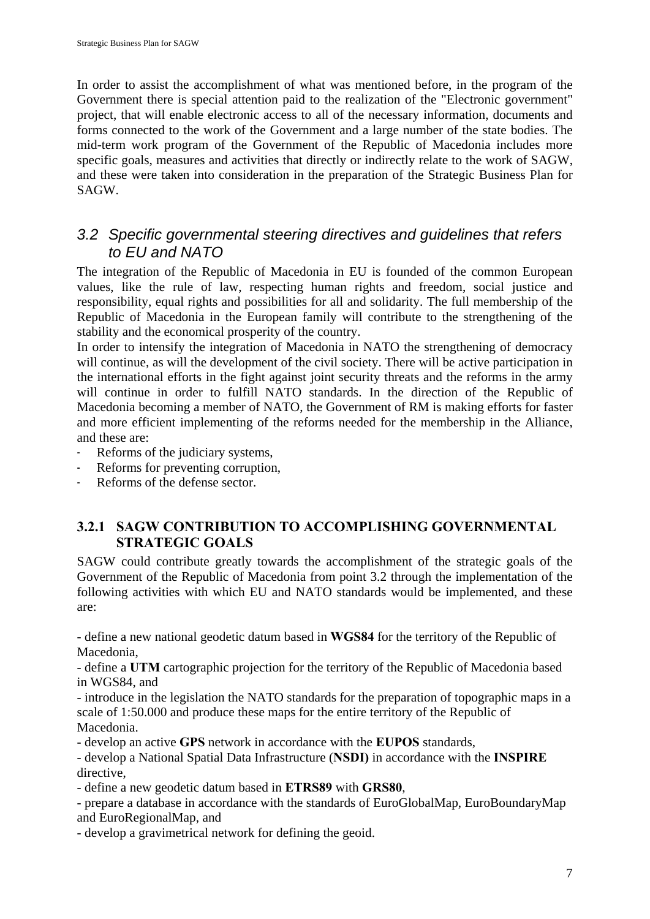In order to assist the accomplishment of what was mentioned before, in the program of the Government there is special attention paid to the realization of the "Electronic government" project, that will enable electronic access to all of the necessary information, documents and forms connected to the work of the Government and a large number of the state bodies. The mid-term work program of the Government of the Republic of Macedonia includes more specific goals, measures and activities that directly or indirectly relate to the work of SAGW, and these were taken into consideration in the preparation of the Strategic Business Plan for SAGW.

### *3.2 Specific governmental steering directives and guidelines that refers to EU and NATO*

The integration of the Republic of Macedonia in EU is founded of the common European values, like the rule of law, respecting human rights and freedom, social justice and responsibility, equal rights and possibilities for all and solidarity. The full membership of the Republic of Macedonia in the European family will contribute to the strengthening of the stability and the economical prosperity of the country.

In order to intensify the integration of Macedonia in NATO the strengthening of democracy will continue, as will the development of the civil society. There will be active participation in the international efforts in the fight against joint security threats and the reforms in the army will continue in order to fulfill NATO standards. In the direction of the Republic of Macedonia becoming a member of NATO, the Government of RM is making efforts for faster and more efficient implementing of the reforms needed for the membership in the Alliance, and these are:

- Reforms of the judiciary systems,
- Reforms for preventing corruption,
- Reforms of the defense sector.

### **3.2.1 SAGW CONTRIBUTION TO ACCOMPLISHING GOVERNMENTAL STRATEGIC GOALS**

SAGW could contribute greatly towards the accomplishment of the strategic goals of the Government of the Republic of Macedonia from point 3.2 through the implementation of the following activities with which EU and NATO standards would be implemented, and these are:

- define a new national geodetic datum based in **WGS84** for the territory of the Republic of Macedonia,

- define a **UTM** cartographic projection for the territory of the Republic of Macedonia based in WGS84, and

- introduce in the legislation the NATO standards for the preparation of topographic maps in a scale of 1:50.000 and produce these maps for the entire territory of the Republic of Macedonia.

- develop an active **GPS** network in accordance with the **EUPOS** standards,

- develop a National Spatial Data Infrastructure (**NSDI)** in accordance with the **INSPIRE** directive,

- define a new geodetic datum based in **ETRS89** with **GRS80**,

- prepare a database in accordance with the standards of EuroGlobalMap, EuroBoundaryMap and EuroRegionalMap, and

- develop a gravimetrical network for defining the geoid.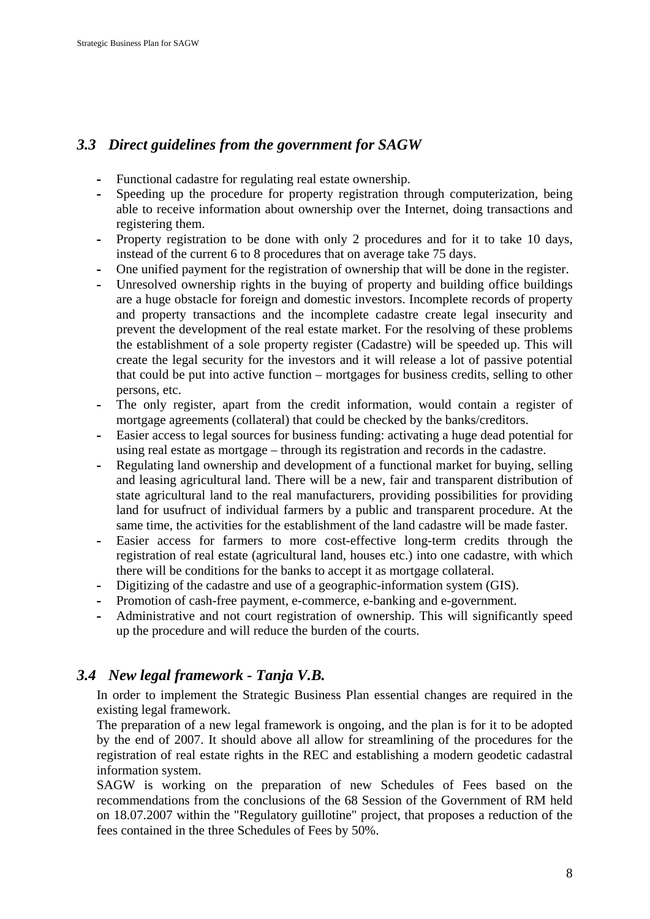### *3.3 Direct guidelines from the government for SAGW*

- **-** Functional cadastre for regulating real estate ownership.
- **-** Speeding up the procedure for property registration through computerization, being able to receive information about ownership over the Internet, doing transactions and registering them.
- **-** Property registration to be done with only 2 procedures and for it to take 10 days, instead of the current 6 to 8 procedures that on average take 75 days.
- **-** One unified payment for the registration of ownership that will be done in the register.
- **-** Unresolved ownership rights in the buying of property and building office buildings are a huge obstacle for foreign and domestic investors. Incomplete records of property and property transactions and the incomplete cadastre create legal insecurity and prevent the development of the real estate market. For the resolving of these problems the establishment of a sole property register (Cadastre) will be speeded up. This will create the legal security for the investors and it will release a lot of passive potential that could be put into active function – mortgages for business credits, selling to other persons, etc.
- **-** The only register, apart from the credit information, would contain a register of mortgage agreements (collateral) that could be checked by the banks/creditors.
- **-** Easier access to legal sources for business funding: activating a huge dead potential for using real estate as mortgage – through its registration and records in the cadastre.
- **-** Regulating land ownership and development of a functional market for buying, selling and leasing agricultural land. There will be a new, fair and transparent distribution of state agricultural land to the real manufacturers, providing possibilities for providing land for usufruct of individual farmers by a public and transparent procedure. At the same time, the activities for the establishment of the land cadastre will be made faster.
- **-** Easier access for farmers to more cost-effective long-term credits through the registration of real estate (agricultural land, houses etc.) into one cadastre, with which there will be conditions for the banks to accept it as mortgage collateral.
- **-** Digitizing of the cadastre and use of a geographic-information system (GIS).
- **-** Promotion of cash-free payment, e-commerce, e-banking and e-government.
- **-** Administrative and not court registration of ownership. This will significantly speed up the procedure and will reduce the burden of the courts.

### *3.4 New legal framework - Tanja V.B.*

In order to implement the Strategic Business Plan essential changes are required in the existing legal framework.

The preparation of a new legal framework is ongoing, and the plan is for it to be adopted by the end of 2007. It should above all allow for streamlining of the procedures for the registration of real estate rights in the REC and establishing a modern geodetic cadastral information system.

SAGW is working on the preparation of new Schedules of Fees based on the recommendations from the conclusions of the 68 Session of the Government of RM held on 18.07.2007 within the "Regulatory guillotine" project, that proposes a reduction of the fees contained in the three Schedules of Fees by 50%.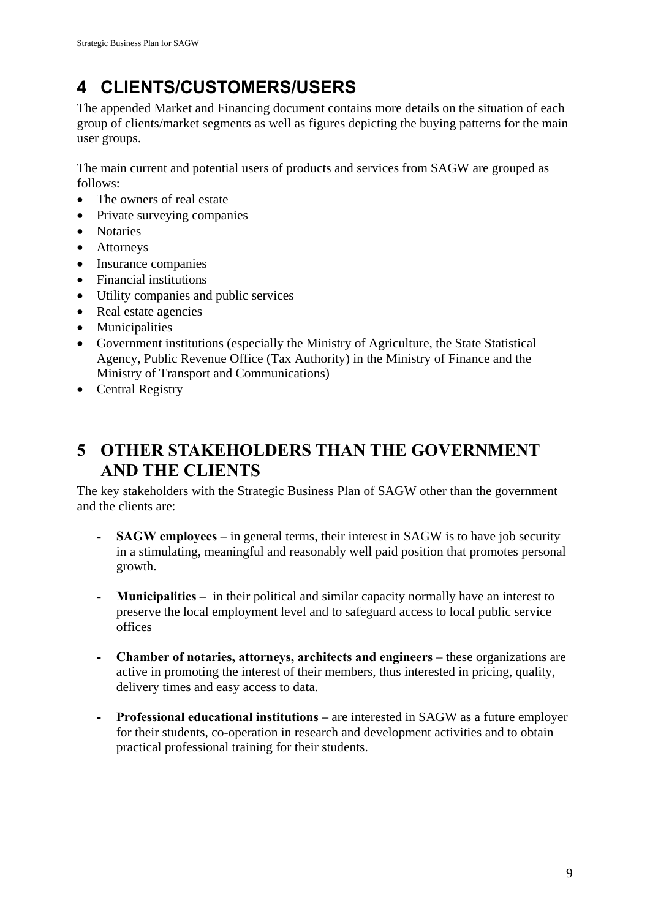# **4 CLIENTS/CUSTOMERS/USERS**

The appended Market and Financing document contains more details on the situation of each group of clients/market segments as well as figures depicting the buying patterns for the main user groups.

The main current and potential users of products and services from SAGW are grouped as follows:

- The owners of real estate
- Private surveying companies
- Notaries
- Attorneys
- Insurance companies
- Financial institutions
- Utility companies and public services
- Real estate agencies
- Municipalities
- Government institutions (especially the Ministry of Agriculture, the State Statistical Agency, Public Revenue Office (Tax Authority) in the Ministry of Finance and the Ministry of Transport and Communications)
- Central Registry

## **5 OTHER STAKEHOLDERS THAN THE GOVERNMENT AND THE CLIENTS**

The key stakeholders with the Strategic Business Plan of SAGW other than the government and the clients are:

- **SAGW employees** in general terms, their interest in SAGW is to have job security in a stimulating, meaningful and reasonably well paid position that promotes personal growth.
- **- Municipalities –** in their political and similar capacity normally have an interest to preserve the local employment level and to safeguard access to local public service offices
- **- Chamber of notaries, attorneys, architects and engineers** these organizations are active in promoting the interest of their members, thus interested in pricing, quality, delivery times and easy access to data.
- **- Professional educational institutions –** are interested in SAGW as a future employer for their students, co-operation in research and development activities and to obtain practical professional training for their students.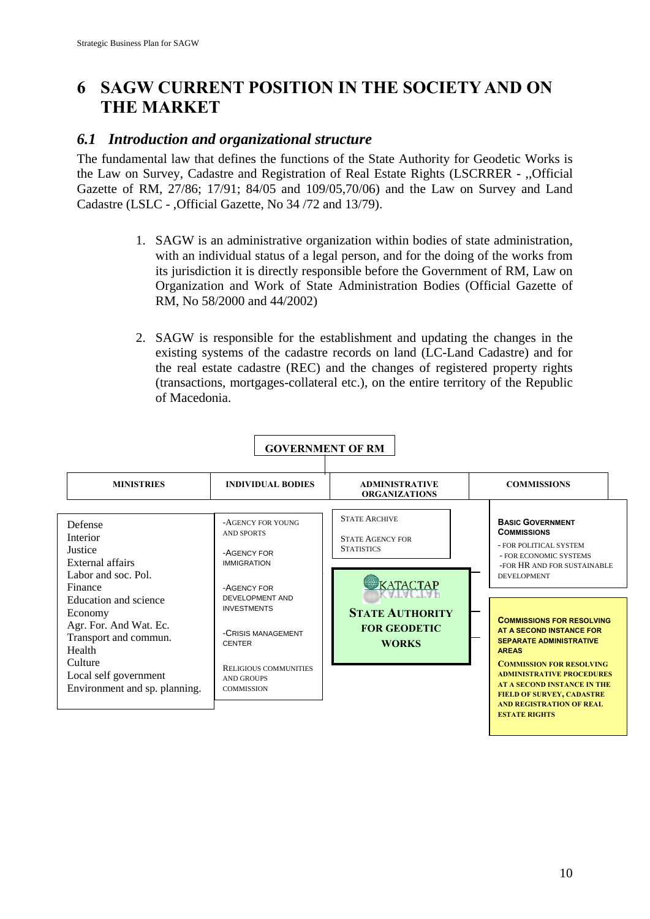## **6 SAGW CURRENT POSITION IN THE SOCIETY AND ON THE MARKET**

### *6.1 Introduction and organizational structure*

The fundamental law that defines the functions of the State Authority for Geodetic Works is the Law on Survey, Cadastre and Registration of Real Estate Rights (LSCRRER - ,,Official Gazette of RM, 27/86; 17/91; 84/05 and 109/05,70/06) and the Law on Survey and Land Cadastre (LSLC - ,Official Gazette, No 34 /72 and 13/79).

- 1. SAGW is an administrative organization within bodies of state administration, with an individual status of a legal person, and for the doing of the works from its jurisdiction it is directly responsible before the Government of RM, Law on Organization and Work of State Administration Bodies (Official Gazette of RM, No 58/2000 and 44/2002)
- 2. SAGW is responsible for the establishment and updating the changes in the existing systems of the cadastre records on land (LC-Land Cadastre) and for the real estate cadastre (REC) and the changes of registered property rights (transactions, mortgages-collateral etc.), on the entire territory of the Republic of Macedonia.

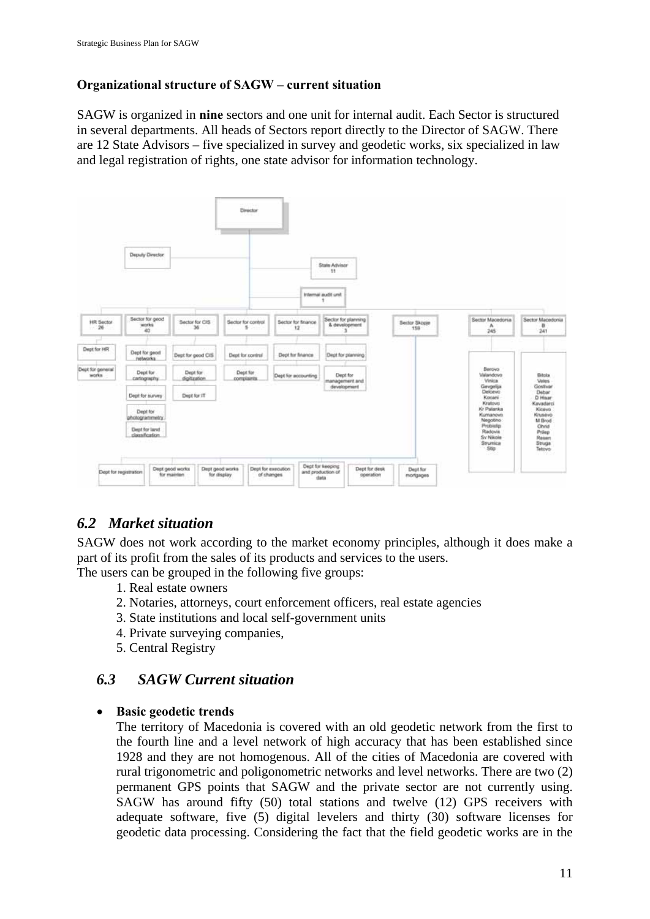### **Organizational structure of SAGW – current situation**

SAGW is organized in **nine** sectors and one unit for internal audit. Each Sector is structured in several departments. All heads of Sectors report directly to the Director of SAGW. There are 12 State Advisors – five specialized in survey and geodetic works, six specialized in law and legal registration of rights, one state advisor for information technology.



## *6.2 Market situation*

SAGW does not work according to the market economy principles, although it does make a part of its profit from the sales of its products and services to the users.

The users can be grouped in the following five groups:

- 1. Real estate owners
- 2. Notaries, attorneys, court enforcement officers, real estate agencies
- 3. State institutions and local self-government units
- 4. Private surveying companies,
- 5. Central Registry

### *6.3 SAGW Current situation*

### • **Basic geodetic trends**

The territory of Macedonia is covered with an old geodetic network from the first to the fourth line and a level network of high accuracy that has been established since 1928 and they are not homogenous. All of the cities of Macedonia are covered with rural trigonometric and poligonometric networks and level networks. There are two (2) permanent GPS points that SAGW and the private sector are not currently using. SAGW has around fifty (50) total stations and twelve (12) GPS receivers with adequate software, five (5) digital levelers and thirty (30) software licenses for geodetic data processing. Considering the fact that the field geodetic works are in the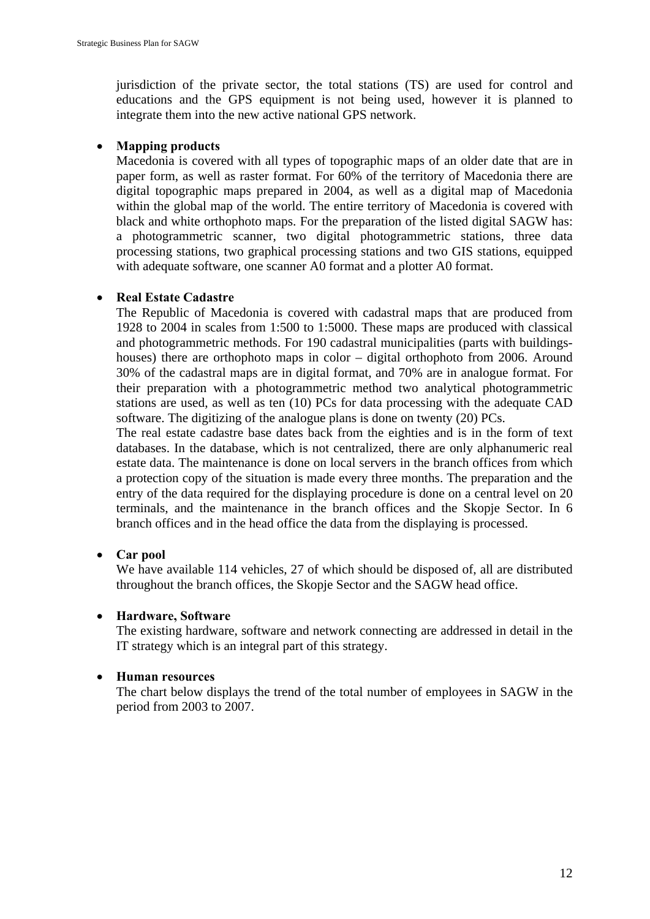jurisdiction of the private sector, the total stations (TS) are used for control and educations and the GPS equipment is not being used, however it is planned to integrate them into the new active national GPS network.

### • **Mapping products**

Macedonia is covered with all types of topographic maps of an older date that are in paper form, as well as raster format. For 60% of the territory of Macedonia there are digital topographic maps prepared in 2004, as well as a digital map of Macedonia within the global map of the world. The entire territory of Macedonia is covered with black and white orthophoto maps. For the preparation of the listed digital SAGW has: a photogrammetric scanner, two digital photogrammetric stations, three data processing stations, two graphical processing stations and two GIS stations, equipped with adequate software, one scanner A0 format and a plotter A0 format.

### • **Real Estate Cadastre**

The Republic of Macedonia is covered with cadastral maps that are produced from 1928 to 2004 in scales from 1:500 to 1:5000. These maps are produced with classical and photogrammetric methods. For 190 cadastral municipalities (parts with buildingshouses) there are orthophoto maps in color – digital orthophoto from 2006. Around 30% of the cadastral maps are in digital format, and 70% are in analogue format. For their preparation with a photogrammetric method two analytical photogrammetric stations are used, as well as ten (10) PCs for data processing with the adequate CAD software. The digitizing of the analogue plans is done on twenty (20) PCs.

The real estate cadastre base dates back from the eighties and is in the form of text databases. In the database, which is not centralized, there are only alphanumeric real estate data. The maintenance is done on local servers in the branch offices from which a protection copy of the situation is made every three months. The preparation and the entry of the data required for the displaying procedure is done on a central level on 20 terminals, and the maintenance in the branch offices and the Skopje Sector. In 6 branch offices and in the head office the data from the displaying is processed.

### • **Car pool**

We have available 114 vehicles, 27 of which should be disposed of, all are distributed throughout the branch offices, the Skopje Sector and the SAGW head office.

#### • **Hardware, Software**

The existing hardware, software and network connecting are addressed in detail in the IT strategy which is an integral part of this strategy.

#### • **Human resources**

The chart below displays the trend of the total number of employees in SAGW in the period from 2003 to 2007.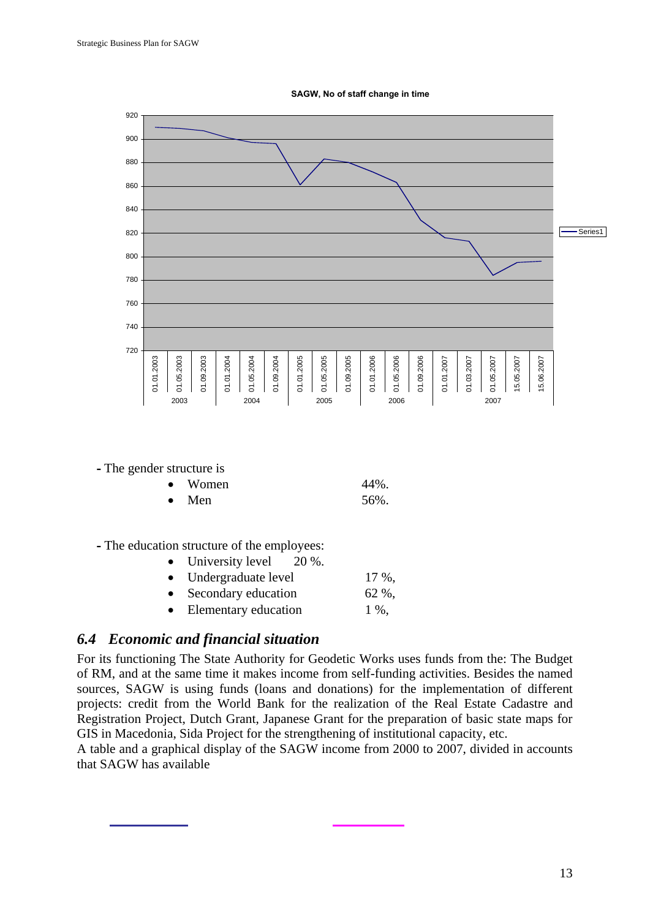**SAGW, No of staff change in time**



**-** The gender structure is

|  | Women | 44%. |
|--|-------|------|
|--|-------|------|

Men  $56\%$ .

**-** The education structure of the employees:

- University level 20 %.
- Undergraduate level 17 %,
- Secondary education 62 %,
- Elementary education 1 %,

### *6.4 Economic and financial situation*

For its functioning The State Authority for Geodetic Works uses funds from the: The Budget of RM, and at the same time it makes income from self-funding activities. Besides the named sources, SAGW is using funds (loans and donations) for the implementation of different projects: credit from the World Bank for the realization of the Real Estate Cadastre and Registration Project, Dutch Grant, Japanese Grant for the preparation of basic state maps for GIS in Macedonia, Sida Project for the strengthening of institutional capacity, etc.

A table and a graphical display of the SAGW income from 2000 to 2007, divided in accounts that SAGW has available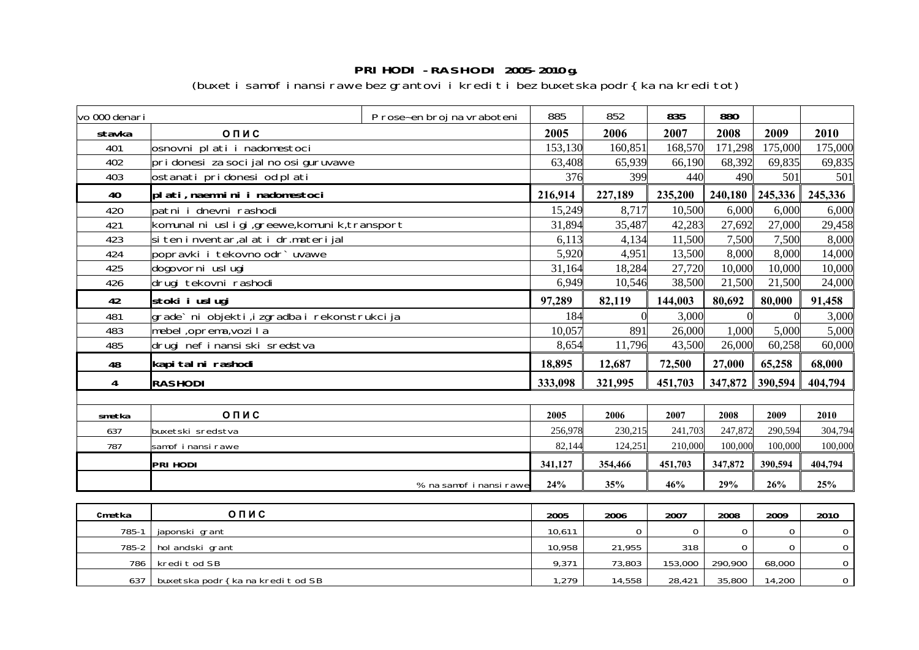### **PRIHODI - RASHODI 2005- 2010 g.**  (buxet i samofinansirawe bez grantovi i kredit i bez buxetska podr{ka na kreditot)

| vo 000 denari |                                            | Prose~en broj na vraboteni | 885     | 852         | 835          | 890         |             |              |
|---------------|--------------------------------------------|----------------------------|---------|-------------|--------------|-------------|-------------|--------------|
| stavka        | ОПИС                                       |                            | 2005    | 2006        | 2007         | 2008        | 2009        | 2010         |
| <b>401</b>    | osnovni plati i nadomestoci                |                            | 153,130 | 160,851     | 168,570      | 171,298     | 175,000     | 175,000      |
| <b>402</b>    | pri donesi za soci jal no osi guruvawe     |                            | 63,408  | 65,939      | 66,190       | 68,392      | 69,835      | 69,835       |
| 403           | ostanati pridonesi od plati                |                            | 376     | 399         | 440          | 490         | 501         | 501          |
| 40            | plati, naennini i nadomestoci              |                            | 216,914 | 227,189     | 235,200      | 240,180     | 245,336     | 245,336      |
| 420           | patni i dnevni rashodi                     |                            | 15,249  | 8,717       | 10,500       | 6,000       | 6,000       | 6,000        |
| 421           | kommalni usligi,greewe,kommik,transport    |                            | 31,894  | 35,487      | 42,283       | 27,692      | 27,000      | 29,458       |
| 423           | siten inventar,alat i dr.materijal         |                            | 6,113   | 4,134       | 11,500       | 7,500       | 7,500       | 8,000        |
| 424           | popravki i tekovno odr`uvawe               |                            | 5,920   | 4,951       | 13,500       | 8,000       | 8,000       | 14,000       |
| 425           | dogovorni uslugi                           |                            | 31,164  | 18,284      | 27,720       | 10,000      | 10,000      | 10,000       |
| 426           | drugi tekovni rashodi                      |                            | 6,949   | 10,546      | 38,500       | 21,500      | 21,500      | 24,000       |
| 42            | stoki i uslugi                             |                            | 97,289  | 82,119      | 144,003      | 80,692      | 80,000      | 91,458       |
| 481           | grade`ni objekti,izgradba i rekonstrukcija |                            | 184     |             | 3,000        |             |             | 3,000        |
| 483           | mebel, oprema, vozila                      |                            | 10,057  | 891         | 26,000       | 1,000       | 5,000       | 5,000        |
| 485           | drugi nefinansiski sredstva                |                            | 8,654   | 11,796      | 43,500       | 26,000      | 60,258      | 60,000       |
| 48            | kapitalni rashodi                          |                            | 18,895  | 12,687      | 72,500       | 27,000      | 65,258      | 68,000       |
| 4             | <b>RASHODI</b>                             |                            | 333,098 | 321,995     | 451,703      | 347,872     | 390,594     | 404,794      |
|               |                                            |                            |         |             |              |             |             |              |
| <b>snetka</b> | ОПИС                                       |                            | 2005    | 2006        | 2007         | 2008        | 2009        | 2010         |
| 637           | buxetski sredstva                          |                            | 256,978 | 230,215     | 241,703      | 247,872     | 290,594     | 304,794      |
| 787           | samofinansirawe                            |                            | 82,144  | 124,251     | 210,000      | 100,000     | 100,000     | 100,000      |
|               | <b>PRI HODI</b>                            |                            | 341,127 | 354,466     | 451,703      | 347,872     | 390,594     | 404,794      |
|               |                                            | % na samofinansirawe       | 24%     | 35%         | 46%          | 29%         | 26%         | 25%          |
|               |                                            |                            |         |             |              |             |             |              |
| cmetka        | ОПИС                                       |                            | 2005    | 2006        | 2007         | 2008        | 2009        | 2010         |
|               | 785-1   japonski grant                     |                            | 10.611  | $\mathbf 0$ | $\mathbf{0}$ | $\mathbf 0$ | $\mathbf 0$ | $\mathbf{0}$ |

| 785-1 | japonski grant                         | 10,611 |        |         | O       |        |  |
|-------|----------------------------------------|--------|--------|---------|---------|--------|--|
|       | 785-2   hol andski grant               | 10,958 | 21,955 | 318     | n       |        |  |
|       | 786   kredit od SB                     | 9,371  | 73,803 | 153,000 | 290,900 | 68,000 |  |
|       | 637   buxetska podr{ka na kredit od SB | 1,279  | 14,558 | 28,421  | 35,800  | 14,200 |  |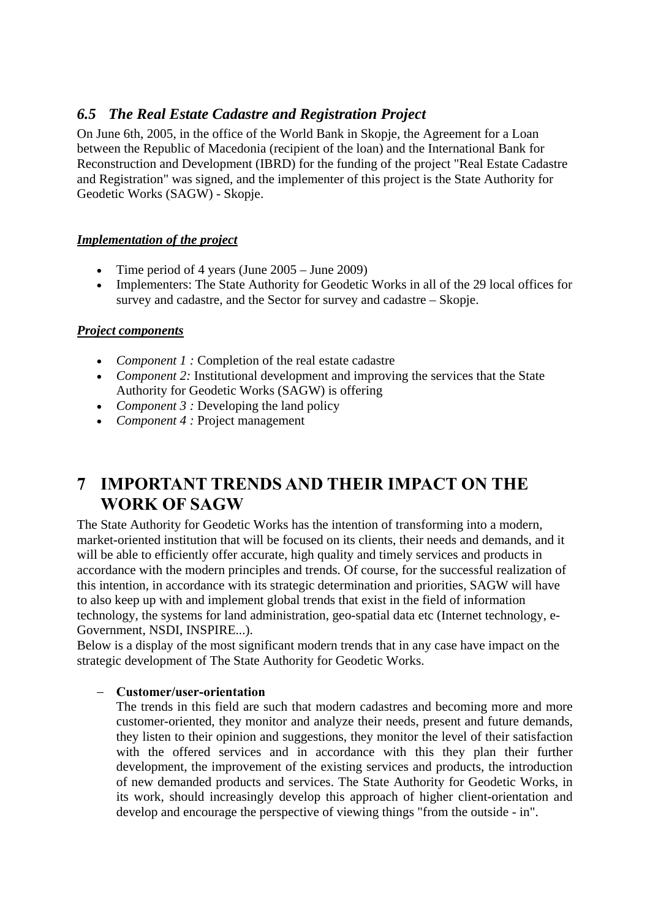### *6.5 The Real Estate Cadastre and Registration Project*

On June 6th, 2005, in the office of the World Bank in Skopje, the Agreement for a Loan between the Republic of Macedonia (recipient of the loan) and the International Bank for Reconstruction and Development (IBRD) for the funding of the project "Real Estate Cadastre and Registration" was signed, and the implementer of this project is the State Authority for Geodetic Works (SAGW) - Skopje.

### *Implementation of the project*

- Time period of 4 years (June 2005 June 2009)
- Implementers: The State Authority for Geodetic Works in all of the 29 local offices for survey and cadastre, and the Sector for survey and cadastre – Skopje.

### *Project components*

- *Component 1* : Completion of the real estate cadastre
- *Component 2:* Institutional development and improving the services that the State Authority for Geodetic Works (SAGW) is offering
- *Component 3 :* Developing the land policy
- *Component 4 :* Project management

## **7 IMPORTANT TRENDS AND THEIR IMPACT ON THE WORK OF SAGW**

The State Authority for Geodetic Works has the intention of transforming into a modern, market-oriented institution that will be focused on its clients, their needs and demands, and it will be able to efficiently offer accurate, high quality and timely services and products in accordance with the modern principles and trends. Of course, for the successful realization of this intention, in accordance with its strategic determination and priorities, SAGW will have to also keep up with and implement global trends that exist in the field of information technology, the systems for land administration, geo-spatial data etc (Internet technology, e-Government, NSDI, INSPIRE...).

Below is a display of the most significant modern trends that in any case have impact on the strategic development of The State Authority for Geodetic Works.

### − **Customer/user-orientation**

 The trends in this field are such that modern cadastres and becoming more and more customer-oriented, they monitor and analyze their needs, present and future demands, they listen to their opinion and suggestions, they monitor the level of their satisfaction with the offered services and in accordance with this they plan their further development, the improvement of the existing services and products, the introduction of new demanded products and services. The State Authority for Geodetic Works, in its work, should increasingly develop this approach of higher client-orientation and develop and encourage the perspective of viewing things "from the outside - in".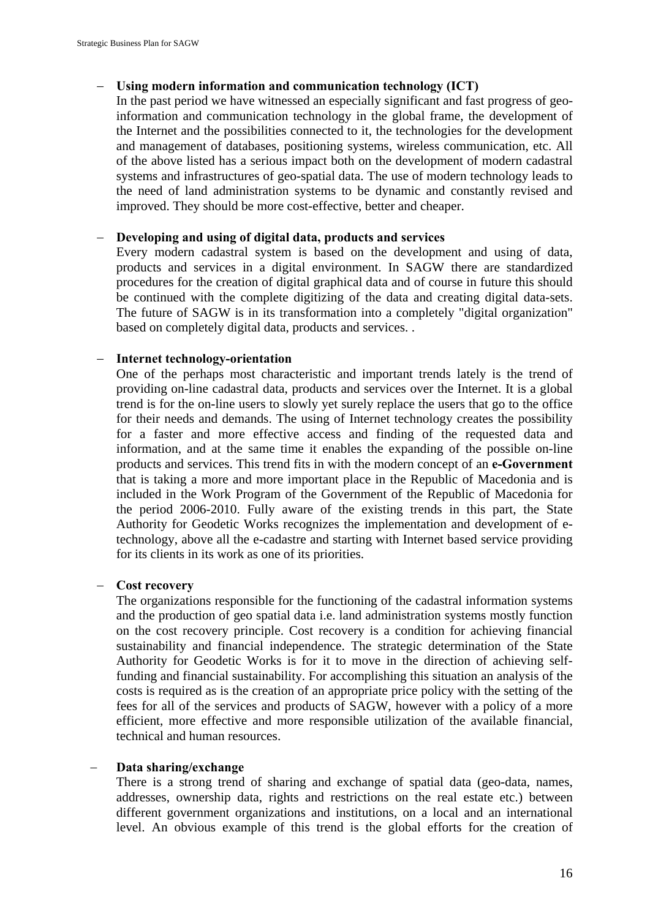### − **Using modern information and communication technology (ICT)**

 In the past period we have witnessed an especially significant and fast progress of geoinformation and communication technology in the global frame, the development of the Internet and the possibilities connected to it, the technologies for the development and management of databases, positioning systems, wireless communication, etc. All of the above listed has a serious impact both on the development of modern cadastral systems and infrastructures of geo-spatial data. The use of modern technology leads to the need of land administration systems to be dynamic and constantly revised and improved. They should be more cost-effective, better and cheaper.

### − **Developing and using of digital data, products and services**

Every modern cadastral system is based on the development and using of data, products and services in a digital environment. In SAGW there are standardized procedures for the creation of digital graphical data and of course in future this should be continued with the complete digitizing of the data and creating digital data-sets. The future of SAGW is in its transformation into a completely "digital organization" based on completely digital data, products and services. .

### − **Internet technology-orientation**

One of the perhaps most characteristic and important trends lately is the trend of providing on-line cadastral data, products and services over the Internet. It is a global trend is for the on-line users to slowly yet surely replace the users that go to the office for their needs and demands. The using of Internet technology creates the possibility for a faster and more effective access and finding of the requested data and information, and at the same time it enables the expanding of the possible on-line products and services. This trend fits in with the modern concept of an **e-Government**  that is taking a more and more important place in the Republic of Macedonia and is included in the Work Program of the Government of the Republic of Macedonia for the period 2006-2010. Fully aware of the existing trends in this part, the State Authority for Geodetic Works recognizes the implementation and development of etechnology, above all the e-cadastre and starting with Internet based service providing for its clients in its work as one of its priorities.

#### − **Cost recovery**

The organizations responsible for the functioning of the cadastral information systems and the production of geo spatial data i.e. land administration systems mostly function on the cost recovery principle. Cost recovery is a condition for achieving financial sustainability and financial independence. The strategic determination of the State Authority for Geodetic Works is for it to move in the direction of achieving selffunding and financial sustainability. For accomplishing this situation an analysis of the costs is required as is the creation of an appropriate price policy with the setting of the fees for all of the services and products of SAGW, however with a policy of a more efficient, more effective and more responsible utilization of the available financial, technical and human resources.

#### − **Data sharing/exchange**

There is a strong trend of sharing and exchange of spatial data (geo-data, names, addresses, ownership data, rights and restrictions on the real estate etc.) between different government organizations and institutions, on a local and an international level. An obvious example of this trend is the global efforts for the creation of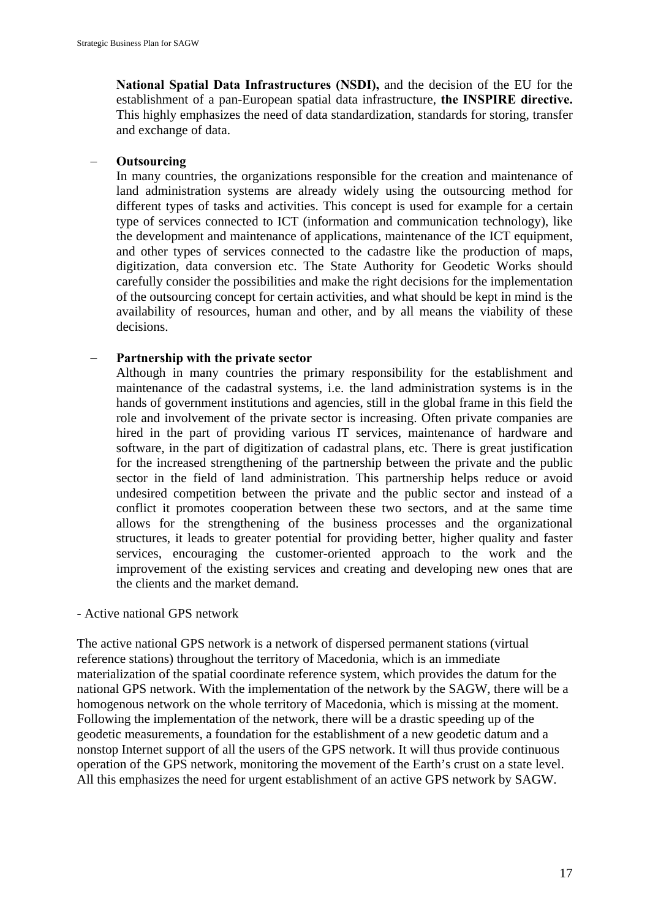**National Spatial Data Infrastructures (NSDI),** and the decision of the EU for the establishment of a pan-European spatial data infrastructure, **the INSPIRE directive.**  This highly emphasizes the need of data standardization, standards for storing, transfer and exchange of data.

#### − **Outsourcing**

In many countries, the organizations responsible for the creation and maintenance of land administration systems are already widely using the outsourcing method for different types of tasks and activities. This concept is used for example for a certain type of services connected to ICT (information and communication technology), like the development and maintenance of applications, maintenance of the ICT equipment, and other types of services connected to the cadastre like the production of maps, digitization, data conversion etc. The State Authority for Geodetic Works should carefully consider the possibilities and make the right decisions for the implementation of the outsourcing concept for certain activities, and what should be kept in mind is the availability of resources, human and other, and by all means the viability of these decisions.

### − **Partnership with the private sector**

Although in many countries the primary responsibility for the establishment and maintenance of the cadastral systems, i.e. the land administration systems is in the hands of government institutions and agencies, still in the global frame in this field the role and involvement of the private sector is increasing. Often private companies are hired in the part of providing various IT services, maintenance of hardware and software, in the part of digitization of cadastral plans, etc. There is great justification for the increased strengthening of the partnership between the private and the public sector in the field of land administration. This partnership helps reduce or avoid undesired competition between the private and the public sector and instead of a conflict it promotes cooperation between these two sectors, and at the same time allows for the strengthening of the business processes and the organizational structures, it leads to greater potential for providing better, higher quality and faster services, encouraging the customer-oriented approach to the work and the improvement of the existing services and creating and developing new ones that are the clients and the market demand.

- Active national GPS network

The active national GPS network is a network of dispersed permanent stations (virtual reference stations) throughout the territory of Macedonia, which is an immediate materialization of the spatial coordinate reference system, which provides the datum for the national GPS network. With the implementation of the network by the SAGW, there will be a homogenous network on the whole territory of Macedonia, which is missing at the moment. Following the implementation of the network, there will be a drastic speeding up of the geodetic measurements, a foundation for the establishment of a new geodetic datum and a nonstop Internet support of all the users of the GPS network. It will thus provide continuous operation of the GPS network, monitoring the movement of the Earth's crust on a state level. All this emphasizes the need for urgent establishment of an active GPS network by SAGW.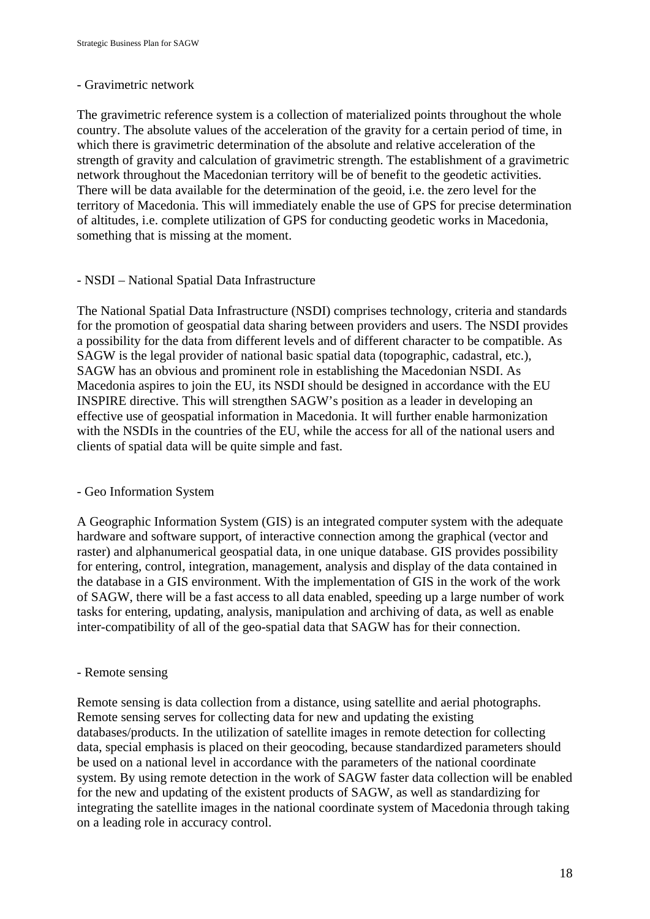#### - Gravimetric network

The gravimetric reference system is a collection of materialized points throughout the whole country. The absolute values of the acceleration of the gravity for a certain period of time, in which there is gravimetric determination of the absolute and relative acceleration of the strength of gravity and calculation of gravimetric strength. The establishment of a gravimetric network throughout the Macedonian territory will be of benefit to the geodetic activities. There will be data available for the determination of the geoid, i.e. the zero level for the territory of Macedonia. This will immediately enable the use of GPS for precise determination of altitudes, i.e. complete utilization of GPS for conducting geodetic works in Macedonia, something that is missing at the moment.

### - NSDI – National Spatial Data Infrastructure

The National Spatial Data Infrastructure (NSDI) comprises technology, criteria and standards for the promotion of geospatial data sharing between providers and users. The NSDI provides a possibility for the data from different levels and of different character to be compatible. As SAGW is the legal provider of national basic spatial data (topographic, cadastral, etc.), SAGW has an obvious and prominent role in establishing the Macedonian NSDI. As Macedonia aspires to join the EU, its NSDI should be designed in accordance with the EU INSPIRE directive. This will strengthen SAGW's position as a leader in developing an effective use of geospatial information in Macedonia. It will further enable harmonization with the NSDIs in the countries of the EU, while the access for all of the national users and clients of spatial data will be quite simple and fast.

#### - Geo Information System

A Geographic Information System (GIS) is an integrated computer system with the adequate hardware and software support, of interactive connection among the graphical (vector and raster) and alphanumerical geospatial data, in one unique database. GIS provides possibility for entering, control, integration, management, analysis and display of the data contained in the database in a GIS environment. With the implementation of GIS in the work of the work of SAGW, there will be a fast access to all data enabled, speeding up a large number of work tasks for entering, updating, analysis, manipulation and archiving of data, as well as enable inter-compatibility of all of the geo-spatial data that SAGW has for their connection.

#### - Remote sensing

Remote sensing is data collection from a distance, using satellite and aerial photographs. Remote sensing serves for collecting data for new and updating the existing databases/products. In the utilization of satellite images in remote detection for collecting data, special emphasis is placed on their geocoding, because standardized parameters should be used on a national level in accordance with the parameters of the national coordinate system. By using remote detection in the work of SAGW faster data collection will be enabled for the new and updating of the existent products of SAGW, as well as standardizing for integrating the satellite images in the national coordinate system of Macedonia through taking on a leading role in accuracy control.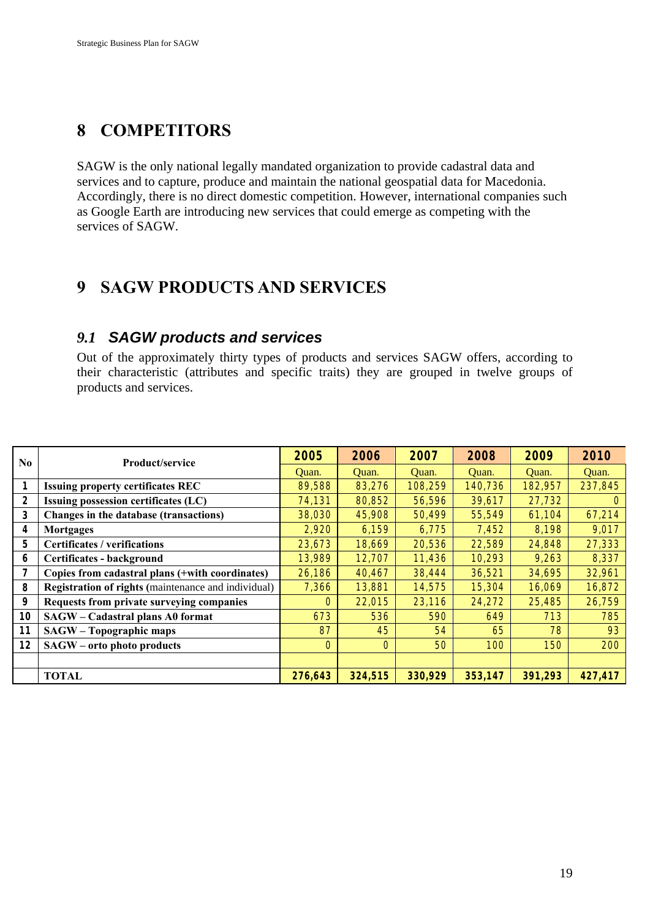## **8 COMPETITORS**

SAGW is the only national legally mandated organization to provide cadastral data and services and to capture, produce and maintain the national geospatial data for Macedonia. Accordingly, there is no direct domestic competition. However, international companies such as Google Earth are introducing new services that could emerge as competing with the services of SAGW.

## **9 SAGW PRODUCTS AND SERVICES**

### *9.1 SAGW products and services*

Out of the approximately thirty types of products and services SAGW offers, according to their characteristic (attributes and specific traits) they are grouped in twelve groups of products and services.

| No. | <b>Product/service</b>                                     | 2005     | 2006     | 2007    | 2008    | 2009    | 2010    |
|-----|------------------------------------------------------------|----------|----------|---------|---------|---------|---------|
|     |                                                            | Quan.    | Quan.    | Quan.   | Quan.   | Quan.   | Quan.   |
| 1   | <b>Issuing property certificates REC</b>                   | 89,588   | 83,276   | 108,259 | 140,736 | 182,957 | 237,845 |
| 2   | Issuing possession certificates (LC)                       | 74,131   | 80,852   | 56,596  | 39,617  | 27,732  | o       |
| 3   | Changes in the database (transactions)                     | 38,030   | 45,908   | 50,499  | 55,549  | 61,104  | 67,214  |
| 4   | Mortgages                                                  | 2,920    | 6,159    | 6,775   | 7,452   | 8,198   | 9,017   |
| 5   | <b>Certificates / verifications</b>                        | 23,673   | 18,669   | 20,536  | 22,589  | 24,848  | 27,333  |
| 6   | Certificates - background                                  | 13,989   | 12,707   | 11,436  | 10,293  | 9,263   | 8,337   |
| 7   | Copies from cadastral plans (+with coordinates)            | 26,186   | 40,467   | 38,444  | 36,521  | 34,695  | 32,961  |
| 8   | <b>Registration of rights (maintenance and individual)</b> | 7,366    | 13,881   | 14,575  | 15,304  | 16,069  | 16,872  |
| 9   | Requests from private surveying companies                  | 0        | 22,015   | 23,116  | 24,272  | 25,485  | 26,759  |
| 10  | SAGW – Cadastral plans A0 format                           | 673      | 536      | 590     | 649     | 713     | 785     |
| 11  | <b>SAGW</b> – Topographic maps                             | 87       | 45       | 54      | 65      | 78      | 93      |
| 12  | SAGW – orto photo products                                 | $\bf{0}$ | $\bf{0}$ | 50      | 100     | 150     | 200     |
|     |                                                            |          |          |         |         |         |         |
|     | <b>TOTAL</b>                                               | 276,643  | 324,515  | 330,929 | 353,147 | 391,293 | 427,417 |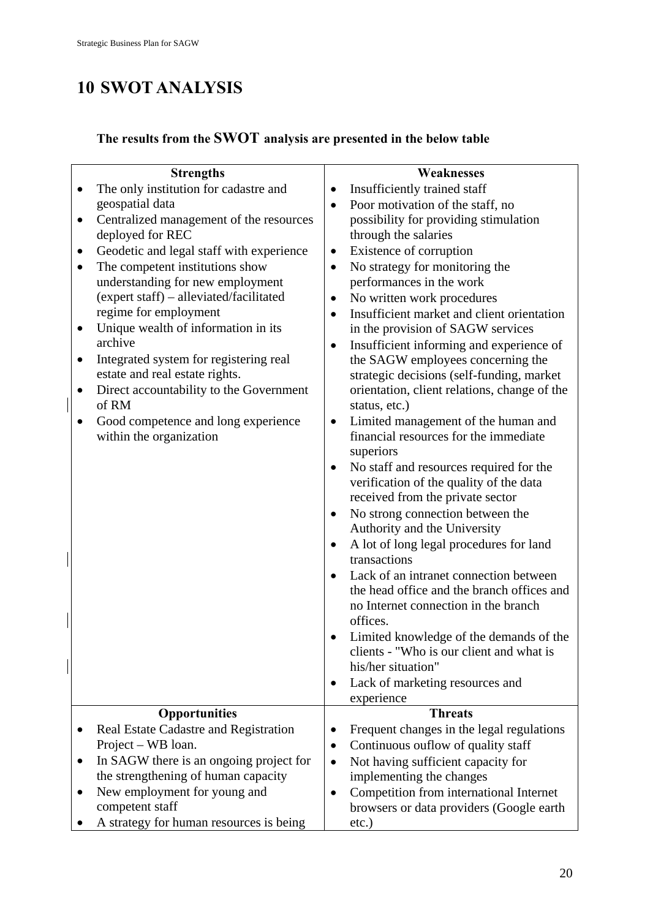# **10 SWOT ANALYSIS**

## **The results from the SWOT analysis are presented in the below table**

| <b>Strengths</b>                                                          | Weaknesses                                                                  |
|---------------------------------------------------------------------------|-----------------------------------------------------------------------------|
| The only institution for cadastre and                                     | Insufficiently trained staff                                                |
| geospatial data                                                           | Poor motivation of the staff, no                                            |
| Centralized management of the resources                                   | possibility for providing stimulation                                       |
| deployed for REC                                                          | through the salaries                                                        |
| Geodetic and legal staff with experience                                  | Existence of corruption<br>$\bullet$                                        |
| The competent institutions show                                           | No strategy for monitoring the                                              |
| understanding for new employment                                          | performances in the work                                                    |
| (expert staff) - alleviated/facilitated                                   | No written work procedures                                                  |
| regime for employment                                                     | Insufficient market and client orientation                                  |
| Unique wealth of information in its                                       | in the provision of SAGW services                                           |
| archive                                                                   | Insufficient informing and experience of                                    |
| Integrated system for registering real                                    | the SAGW employees concerning the                                           |
| estate and real estate rights.<br>Direct accountability to the Government | strategic decisions (self-funding, market                                   |
| $\bullet$<br>of RM                                                        | orientation, client relations, change of the<br>status, etc.)               |
| Good competence and long experience                                       | Limited management of the human and<br>$\bullet$                            |
| within the organization                                                   | financial resources for the immediate                                       |
|                                                                           | superiors                                                                   |
|                                                                           | No staff and resources required for the<br>$\bullet$                        |
|                                                                           | verification of the quality of the data<br>received from the private sector |
|                                                                           | No strong connection between the<br>٠                                       |
|                                                                           | Authority and the University                                                |
|                                                                           | A lot of long legal procedures for land<br>٠                                |
|                                                                           | transactions                                                                |
|                                                                           | Lack of an intranet connection between                                      |
|                                                                           | the head office and the branch offices and                                  |
|                                                                           | no Internet connection in the branch                                        |
|                                                                           | offices.                                                                    |
|                                                                           | Limited knowledge of the demands of the                                     |
|                                                                           | clients - "Who is our client and what is                                    |
|                                                                           | his/her situation"                                                          |
|                                                                           | Lack of marketing resources and<br>٠                                        |
|                                                                           | experience                                                                  |
| <b>Opportunities</b>                                                      | <b>Threats</b>                                                              |
| Real Estate Cadastre and Registration<br>Project – WB loan.               | Frequent changes in the legal regulations                                   |
| In SAGW there is an ongoing project for                                   | Continuous ouflow of quality staff                                          |
| ٠<br>the strengthening of human capacity                                  | Not having sufficient capacity for<br>implementing the changes              |
| New employment for young and                                              | Competition from international Internet                                     |
| competent staff                                                           | browsers or data providers (Google earth                                    |
| A strategy for human resources is being                                   | $etc.$ )                                                                    |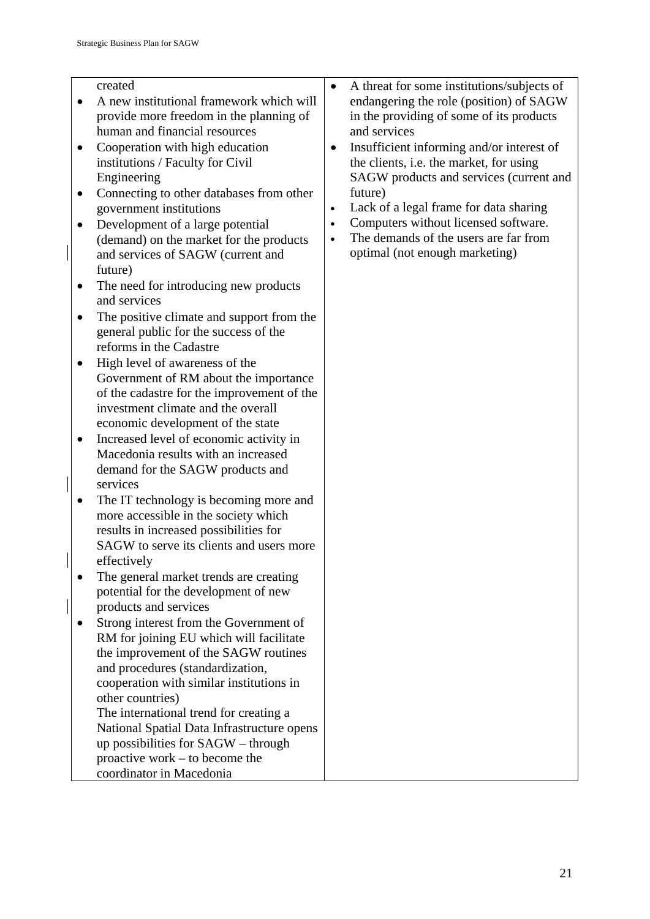#### created

- A new institutional framework which will provide more freedom in the planning of human and financial resources
- Cooperation with high education institutions / Faculty for Civil Engineering
- Connecting to other databases from other government institutions
- Development of a large potential (demand) on the market for the products and services of SAGW (current and future)
- The need for introducing new products and services
- The positive climate and support from the general public for the success of the reforms in the Cadastre
- High level of awareness of the Government of RM about the importance of the cadastre for the improvement of the investment climate and the overall economic development of the state
- Increased level of economic activity in Macedonia results with an increased demand for the SAGW products and services
- The IT technology is becoming more and more accessible in the society which results in increased possibilities for SAGW to serve its clients and users more effectively
- The general market trends are creating potential for the development of new products and services
- Strong interest from the Government of RM for joining EU which will facilitate the improvement of the SAGW routines and procedures (standardization, cooperation with similar institutions in other countries)

The international trend for creating a National Spatial Data Infrastructure opens up possibilities for SAGW – through proactive work – to become the coordinator in Macedonia

- A threat for some institutions/subjects of endangering the role (position) of SAGW in the providing of some of its products and services
- Insufficient informing and/or interest of the clients, i.e. the market, for using SAGW products and services (current and future)
- Lack of a legal frame for data sharing
- Computers without licensed software.
- The demands of the users are far from optimal (not enough marketing)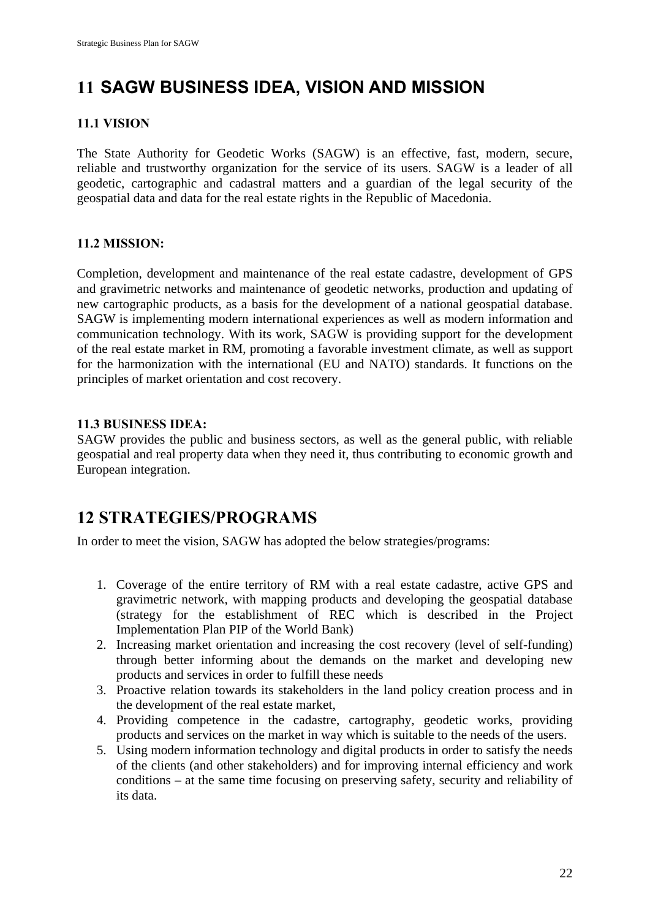# **11 SAGW BUSINESS IDEA, VISION AND MISSION**

### **11.1 VISION**

The State Authority for Geodetic Works (SAGW) is an effective, fast, modern, secure, reliable and trustworthy organization for the service of its users. SAGW is a leader of all geodetic, cartographic and cadastral matters and a guardian of the legal security of the geospatial data and data for the real estate rights in the Republic of Macedonia.

### **11.2 MISSION:**

Completion, development and maintenance of the real estate cadastre, development of GPS and gravimetric networks and maintenance of geodetic networks, production and updating of new cartographic products, as a basis for the development of a national geospatial database. SAGW is implementing modern international experiences as well as modern information and communication technology. With its work, SAGW is providing support for the development of the real estate market in RM, promoting a favorable investment climate, as well as support for the harmonization with the international (EU and NATO) standards. It functions on the principles of market orientation and cost recovery.

### **11.3 BUSINESS IDEA:**

SAGW provides the public and business sectors, as well as the general public, with reliable geospatial and real property data when they need it, thus contributing to economic growth and European integration.

## **12 STRATEGIES/PROGRAMS**

In order to meet the vision, SAGW has adopted the below strategies/programs:

- 1. Coverage of the entire territory of RM with a real estate cadastre, active GPS and gravimetric network, with mapping products and developing the geospatial database (strategy for the establishment of REC which is described in the Project Implementation Plan PIP of the World Bank)
- 2. Increasing market orientation and increasing the cost recovery (level of self-funding) through better informing about the demands on the market and developing new products and services in order to fulfill these needs
- 3. Proactive relation towards its stakeholders in the land policy creation process and in the development of the real estate market,
- 4. Providing competence in the cadastre, cartography, geodetic works, providing products and services on the market in way which is suitable to the needs of the users.
- 5. Using modern information technology and digital products in order to satisfy the needs of the clients (and other stakeholders) and for improving internal efficiency and work conditions – at the same time focusing on preserving safety, security and reliability of its data.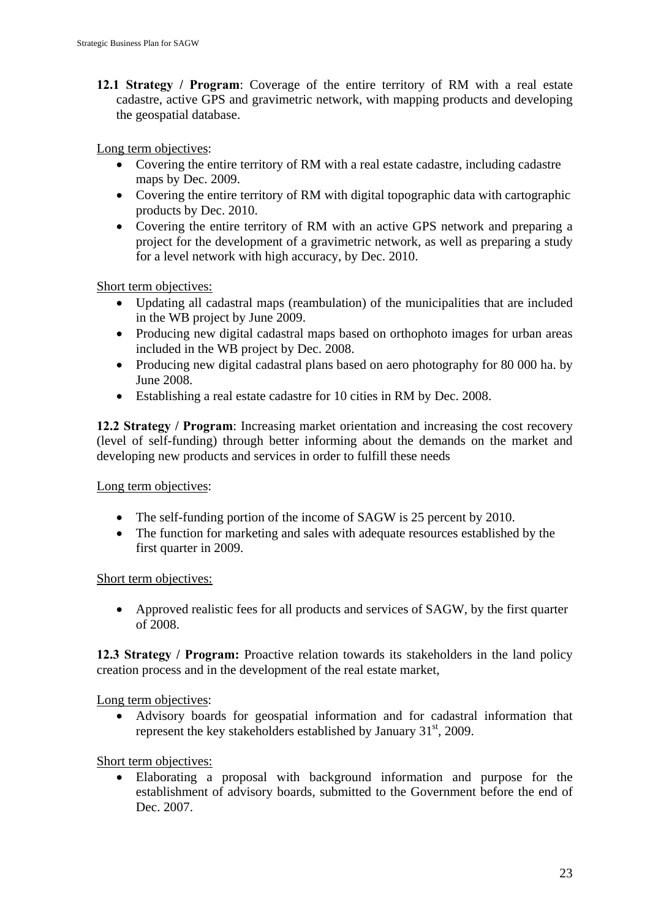**12.1 Strategy / Program**: Coverage of the entire territory of RM with a real estate cadastre, active GPS and gravimetric network, with mapping products and developing the geospatial database.

Long term objectives:

- Covering the entire territory of RM with a real estate cadastre, including cadastre maps by Dec. 2009.
- Covering the entire territory of RM with digital topographic data with cartographic products by Dec. 2010.
- Covering the entire territory of RM with an active GPS network and preparing a project for the development of a gravimetric network, as well as preparing a study for a level network with high accuracy, by Dec. 2010.

Short term objectives:

- Updating all cadastral maps (reambulation) of the municipalities that are included in the WB project by June 2009.
- Producing new digital cadastral maps based on orthophoto images for urban areas included in the WB project by Dec. 2008.
- Producing new digital cadastral plans based on aero photography for 80 000 ha. by June 2008.
- Establishing a real estate cadastre for 10 cities in RM by Dec. 2008.

**12.2 Strategy / Program**: Increasing market orientation and increasing the cost recovery (level of self-funding) through better informing about the demands on the market and developing new products and services in order to fulfill these needs

Long term objectives:

- The self-funding portion of the income of SAGW is 25 percent by 2010.
- The function for marketing and sales with adequate resources established by the first quarter in 2009.

Short term objectives:

• Approved realistic fees for all products and services of SAGW, by the first quarter of 2008.

**12.3 Strategy / Program:** Proactive relation towards its stakeholders in the land policy creation process and in the development of the real estate market,

Long term objectives:

• Advisory boards for geospatial information and for cadastral information that represent the key stakeholders established by January  $31<sup>st</sup>$ , 2009.

Short term objectives:

• Elaborating a proposal with background information and purpose for the establishment of advisory boards, submitted to the Government before the end of Dec. 2007.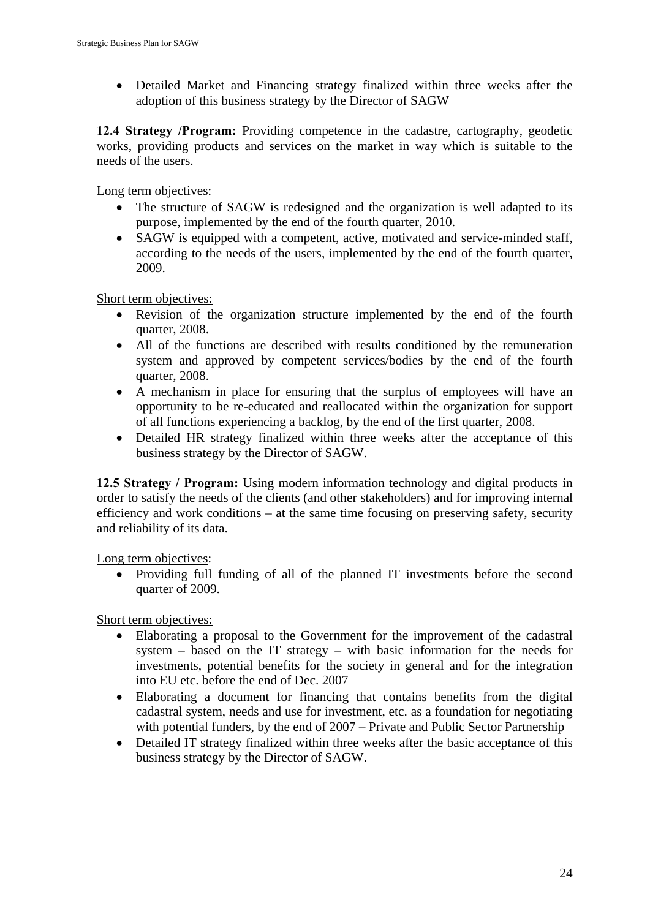• Detailed Market and Financing strategy finalized within three weeks after the adoption of this business strategy by the Director of SAGW

**12.4 Strategy /Program:** Providing competence in the cadastre, cartography, geodetic works, providing products and services on the market in way which is suitable to the needs of the users.

Long term objectives:

- The structure of SAGW is redesigned and the organization is well adapted to its purpose, implemented by the end of the fourth quarter, 2010.
- SAGW is equipped with a competent, active, motivated and service-minded staff, according to the needs of the users, implemented by the end of the fourth quarter, 2009.

Short term objectives:

- Revision of the organization structure implemented by the end of the fourth quarter, 2008.
- All of the functions are described with results conditioned by the remuneration system and approved by competent services/bodies by the end of the fourth quarter, 2008.
- A mechanism in place for ensuring that the surplus of employees will have an opportunity to be re-educated and reallocated within the organization for support of all functions experiencing a backlog, by the end of the first quarter, 2008.
- Detailed HR strategy finalized within three weeks after the acceptance of this business strategy by the Director of SAGW.

**12.5 Strategy / Program:** Using modern information technology and digital products in order to satisfy the needs of the clients (and other stakeholders) and for improving internal efficiency and work conditions – at the same time focusing on preserving safety, security and reliability of its data.

Long term objectives:

• Providing full funding of all of the planned IT investments before the second quarter of 2009.

Short term objectives:

- Elaborating a proposal to the Government for the improvement of the cadastral system – based on the IT strategy – with basic information for the needs for investments, potential benefits for the society in general and for the integration into EU etc. before the end of Dec. 2007
- Elaborating a document for financing that contains benefits from the digital cadastral system, needs and use for investment, etc. as a foundation for negotiating with potential funders, by the end of 2007 – Private and Public Sector Partnership
- Detailed IT strategy finalized within three weeks after the basic acceptance of this business strategy by the Director of SAGW.